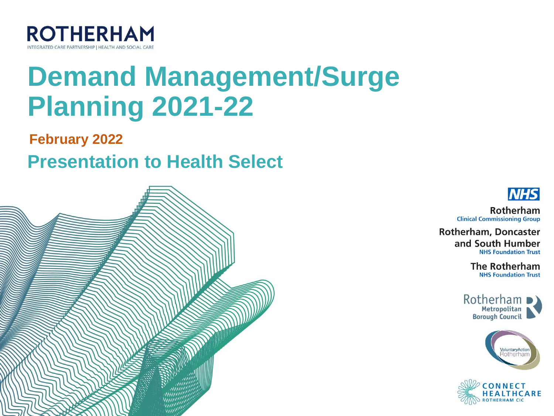

# **Demand Management/Surge Planning 2021-22**

**February 2022**

**Presentation to Health Select** 





Rotherham **Clinical Commissioning Group** 

**Rotherham, Doncaster** and South Humber **NHS Foundation Trust** 

> **The Rotherham NHS Foundation Trust**





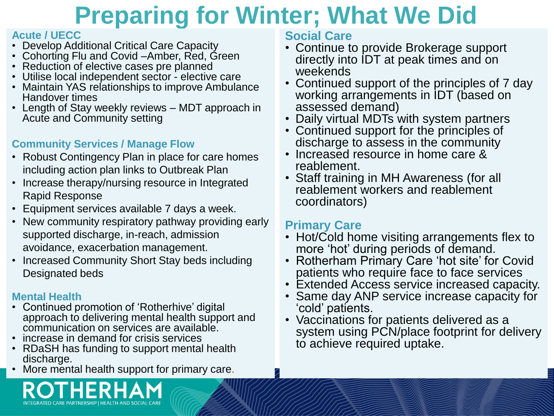### **Preparing for Winter; What We Did**

#### **Acute / UECC**

- Develop Additional Critical Care Capacity
- Cohorting Flu and Covid –Amber, Red, Green
- Reduction of elective cases pre planned
- Utilise local independent sector elective care
- Maintain YAS relationships to improve Ambulance Handover times
- Length of Stay weekly reviews MDT approach in Acute and Community setting

### **Community Services / Manage Flow**

- Robust Contingency Plan in place for care homes including action plan links to Outbreak Plan
- Increase therapy/nursing resource in Integrated Rapid Response
- Equipment services available 7 days a week.
- New community respiratory pathway providing early supported discharge, in-reach, admission avoidance, exacerbation management.
- Increased Community Short Stay beds including Designated beds

#### **Mental Health**

- Continued promotion of 'Rotherhive' digital approach to delivering mental health support and communication on services are available.
- increase in demand for crisis services
- RDaSH has funding to support mental health discharge.
- More mental health support for primary care.

#### **Social Care**

- Continue to provide Brokerage support directly into IDT at peak times and on weekends
- Continued support of the principles of 7 day working arrangements in IDT (based on assessed demand)
- Daily virtual MDTs with system partners
- Continued support for the principles of discharge to assess in the community
- Increased resource in home care & reablement.
- Staff training in MH Awareness (for all reablement workers and reablement coordinators)

#### **Primary Care**

- Hot/Cold home visiting arrangements flex to more 'hot' during periods of demand.
- Rotherham Primary Care 'hot site' for Covid patients who require face to face services
- Extended Access service increased capacity.
- Same day ANP service increase capacity for 'cold' patients.
- Vaccinations for patients delivered as a system using PCN/place footprint for delivery to achieve required uptake.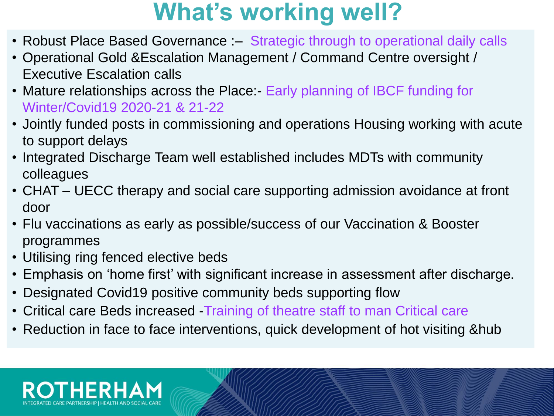### **What's working well?**

- Robust Place Based Governance :- Strategic through to operational daily calls
- Operational Gold &Escalation Management / Command Centre oversight / Executive Escalation calls
- Mature relationships across the Place:- Early planning of IBCF funding for Winter/Covid19 2020-21 & 21-22
- Jointly funded posts in commissioning and operations Housing working with acute to support delays
- Integrated Discharge Team well established includes MDTs with community colleagues
- CHAT UECC therapy and social care supporting admission avoidance at front door
- Flu vaccinations as early as possible/success of our Vaccination & Booster programmes
- Utilising ring fenced elective beds
- Emphasis on 'home first' with significant increase in assessment after discharge.
- Designated Covid19 positive community beds supporting flow
- Critical care Beds increased -Training of theatre staff to man Critical care
- Reduction in face to face interventions, quick development of hot visiting &hub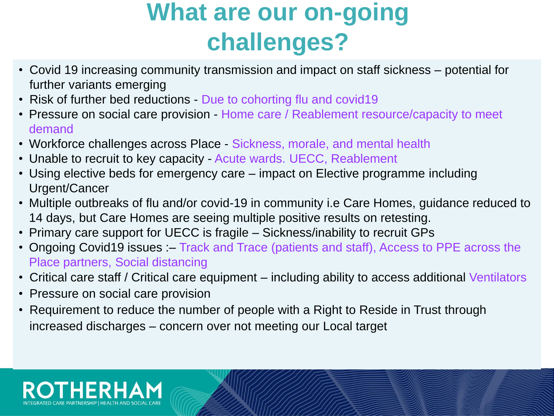## **What are our on-going challenges?**

- Covid 19 increasing community transmission and impact on staff sickness potential for further variants emerging
- Risk of further bed reductions Due to cohorting flu and covid19
- Pressure on social care provision Home care / Reablement resource/capacity to meet demand
- Workforce challenges across Place Sickness, morale, and mental health
- Unable to recruit to key capacity Acute wards. UECC, Reablement
- Using elective beds for emergency care impact on Elective programme including Urgent/Cancer
- Multiple outbreaks of flu and/or covid-19 in community i.e Care Homes, guidance reduced to 14 days, but Care Homes are seeing multiple positive results on retesting.
- Primary care support for UECC is fragile Sickness/inability to recruit GPs
- Ongoing Covid19 issues :– Track and Trace (patients and staff), Access to PPE across the Place partners, Social distancing
- Critical care staff / Critical care equipment including ability to access additional Ventilators
- Pressure on social care provision
- Requirement to reduce the number of people with a Right to Reside in Trust through increased discharges – concern over not meeting our Local target